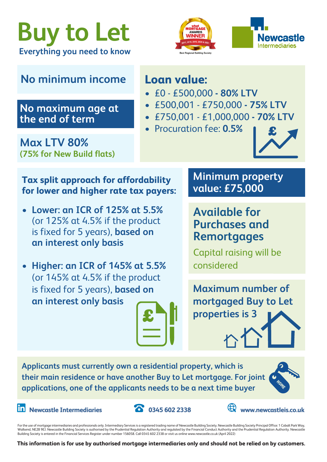





# **No minimum income Loan value:**

## **No maximum age at the end of term**

**Max LTV 80% (75% for New Build flats)**

- £0 £500,000 **80% LTV**
- £500,001 £750,000 **75% LTV**
- £750,001 £1,000,000 **70% LTV**
- Procuration fee: **0.5%**



### **Tax split approach for affordability for lower and higher rate tax payers:**

- **• Lower: an ICR of 125% at 5.5%** (or 125% at 4.5% if the product is fixed for 5 years), **based on an interest only basis**
- **• Higher: an ICR of 145% at 5.5%** (or 145% at 4.5% if the product is fixed for 5 years), **based on an interest only basis**

**Minimum property value: £75,000**

**Available for Purchases and Remortgages**

Capital raising will be considered

**Maximum number of mortgaged Buy to Let properties is 3**

**Applicants must currently own a residential property, which is their main residence or have another Buy to Let mortgage. For joint applications, one of the applicants needs to be a next time buyer**



**In** Newcastle Intermediaries **1989** 0345 602 2338 **Wave Williams** www.newcastleis.co.uk





For the use of mortgage intermediaries and professionals only. Intermediary Services is a registered trading name of Newcastle Building Society. Newcastle Building Society Principal Office: 1 Cobalt Park Way, Wallsend, NE28 9EJ. Newcastle Building Society is authorised by the Prudential Regulation Authority and regulated by the Financial Conduct Authority and the Prudential Regulation Authority. Newcastle Building Society is entered in the Financial Services Register under number 156058. Call 0345 602 2338 or visit us online www.newcastle.co.uk (April 2022)

**This information is for use by authorised mortgage intermediaries only and should not be relied on by customers.**